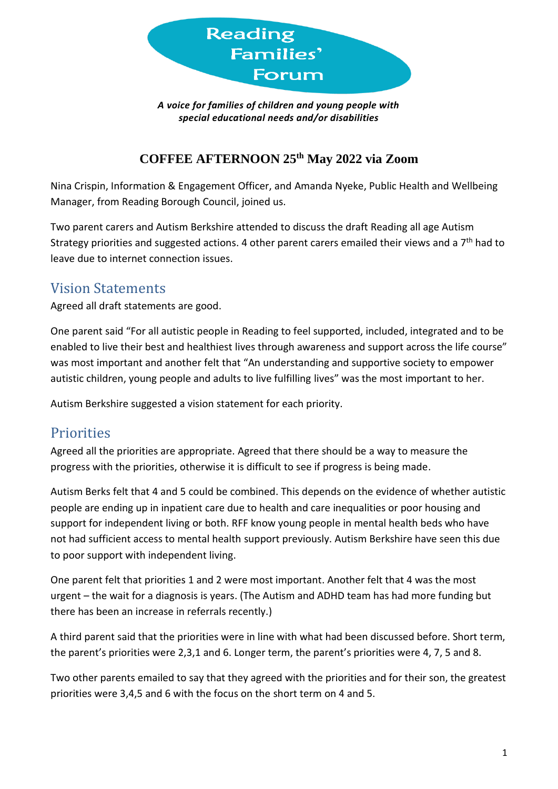

*A voice for families of children and young people with special educational needs and/or disabilities*

### **COFFEE AFTERNOON 25th May 2022 via Zoom**

Nina Crispin, Information & Engagement Officer, and Amanda Nyeke, Public Health and Wellbeing Manager, from Reading Borough Council, joined us.

Two parent carers and Autism Berkshire attended to discuss the draft Reading all age Autism Strategy priorities and suggested actions. 4 other parent carers emailed their views and a  $7<sup>th</sup>$  had to leave due to internet connection issues.

### Vision Statements

Agreed all draft statements are good.

One parent said "For all autistic people in Reading to feel supported, included, integrated and to be enabled to live their best and healthiest lives through awareness and support across the life course" was most important and another felt that "An understanding and supportive society to empower autistic children, young people and adults to live fulfilling lives" was the most important to her.

Autism Berkshire suggested a vision statement for each priority.

### **Priorities**

Agreed all the priorities are appropriate. Agreed that there should be a way to measure the progress with the priorities, otherwise it is difficult to see if progress is being made.

Autism Berks felt that 4 and 5 could be combined. This depends on the evidence of whether autistic people are ending up in inpatient care due to health and care inequalities or poor housing and support for independent living or both. RFF know young people in mental health beds who have not had sufficient access to mental health support previously. Autism Berkshire have seen this due to poor support with independent living.

One parent felt that priorities 1 and 2 were most important. Another felt that 4 was the most urgent – the wait for a diagnosis is years. (The Autism and ADHD team has had more funding but there has been an increase in referrals recently.)

A third parent said that the priorities were in line with what had been discussed before. Short term, the parent's priorities were 2,3,1 and 6. Longer term, the parent's priorities were 4, 7, 5 and 8.

Two other parents emailed to say that they agreed with the priorities and for their son, the greatest priorities were 3,4,5 and 6 with the focus on the short term on 4 and 5.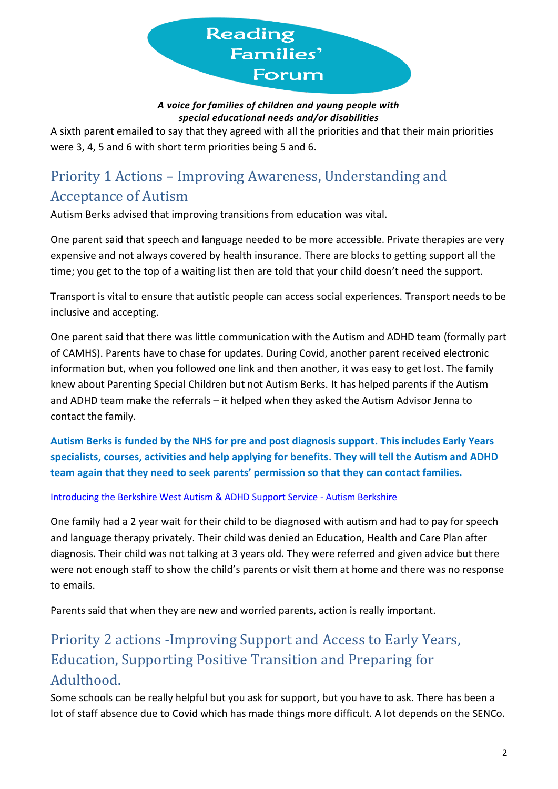

#### *A voice for families of children and young people with special educational needs and/or disabilities*

A sixth parent emailed to say that they agreed with all the priorities and that their main priorities were 3, 4, 5 and 6 with short term priorities being 5 and 6.

# Priority 1 Actions – Improving Awareness, Understanding and Acceptance of Autism

Autism Berks advised that improving transitions from education was vital.

One parent said that speech and language needed to be more accessible. Private therapies are very expensive and not always covered by health insurance. There are blocks to getting support all the time; you get to the top of a waiting list then are told that your child doesn't need the support.

Transport is vital to ensure that autistic people can access social experiences. Transport needs to be inclusive and accepting.

One parent said that there was little communication with the Autism and ADHD team (formally part of CAMHS). Parents have to chase for updates. During Covid, another parent received electronic information but, when you followed one link and then another, it was easy to get lost. The family knew about Parenting Special Children but not Autism Berks. It has helped parents if the Autism and ADHD team make the referrals – it helped when they asked the Autism Advisor Jenna to contact the family.

**Autism Berks is funded by the NHS for pre and post diagnosis support. This includes Early Years specialists, courses, activities and help applying for benefits. They will tell the Autism and ADHD team again that they need to seek parents' permission so that they can contact families.**

#### [Introducing the Berkshire West Autism & ADHD Support Service -](https://www.autismberkshire.org.uk/berkshire-west-autism-adhd-support-service/) Autism Berkshire

One family had a 2 year wait for their child to be diagnosed with autism and had to pay for speech and language therapy privately. Their child was denied an Education, Health and Care Plan after diagnosis. Their child was not talking at 3 years old. They were referred and given advice but there were not enough staff to show the child's parents or visit them at home and there was no response to emails.

Parents said that when they are new and worried parents, action is really important.

# Priority 2 actions -Improving Support and Access to Early Years, Education, Supporting Positive Transition and Preparing for Adulthood.

Some schools can be really helpful but you ask for support, but you have to ask. There has been a lot of staff absence due to Covid which has made things more difficult. A lot depends on the SENCo.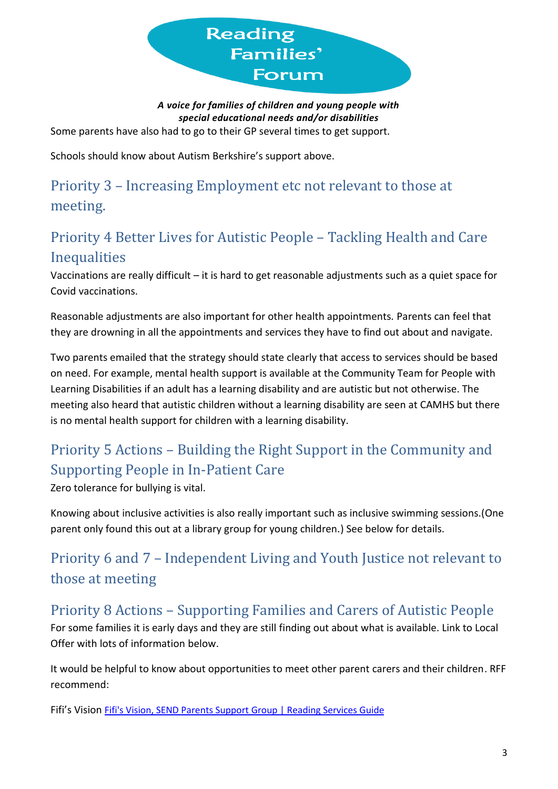

*A voice for families of children and young people with special educational needs and/or disabilities* Some parents have also had to go to their GP several times to get support.

Schools should know about Autism Berkshire's support above.

Priority 3 – Increasing Employment etc not relevant to those at meeting.

## Priority 4 Better Lives for Autistic People – Tackling Health and Care Inequalities

Vaccinations are really difficult – it is hard to get reasonable adjustments such as a quiet space for Covid vaccinations.

Reasonable adjustments are also important for other health appointments. Parents can feel that they are drowning in all the appointments and services they have to find out about and navigate.

Two parents emailed that the strategy should state clearly that access to services should be based on need. For example, mental health support is available at the Community Team for People with Learning Disabilities if an adult has a learning disability and are autistic but not otherwise. The meeting also heard that autistic children without a learning disability are seen at CAMHS but there is no mental health support for children with a learning disability.

# Priority 5 Actions – Building the Right Support in the Community and Supporting People in In-Patient Care

Zero tolerance for bullying is vital.

Knowing about inclusive activities is also really important such as inclusive swimming sessions.(One parent only found this out at a library group for young children.) See below for details.

## Priority 6 and 7 – Independent Living and Youth Justice not relevant to those at meeting

## Priority 8 Actions – Supporting Families and Carers of Autistic People

For some families it is early days and they are still finding out about what is available. Link to Local Offer with lots of information below.

It would be helpful to know about opportunities to meet other parent carers and their children. RFF recommend:

Fifi's Vision [Fifi's Vision, SEND Parents Support Group](https://servicesguide.reading.gov.uk/kb5/reading/directory/service.page?id=Nd3p1bTKoBs) | Reading Services Guide